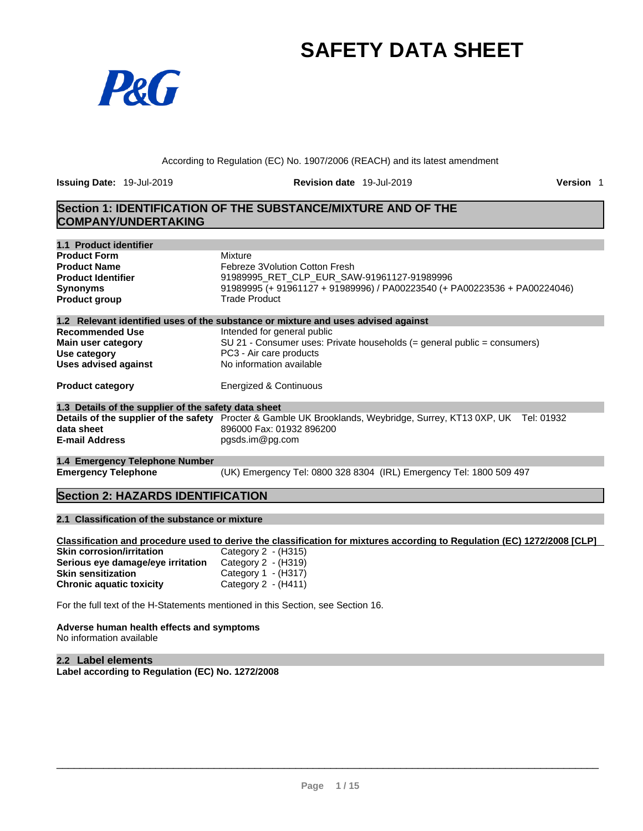# **SAFETY DATA SHEET**



According to Regulation (EC) No. 1907/2006 (REACH) and its latest amendment

**Issuing Date:** 19-Jul-2019 **Revision date** 19-Jul-2019 **Version** 1

### **Section 1: IDENTIFICATION OF THE SUBSTANCE/MIXTURE AND OF THE COMPANY/UNDERTAKING**

| 1.1 Product identifier                               |                                                                                                                         |
|------------------------------------------------------|-------------------------------------------------------------------------------------------------------------------------|
| <b>Product Form</b>                                  | Mixture                                                                                                                 |
| <b>Product Name</b>                                  | Febreze 3Volution Cotton Fresh                                                                                          |
| <b>Product Identifier</b>                            | 91989995 RET CLP EUR SAW-91961127-91989996                                                                              |
| <b>Synonyms</b>                                      | 91989995 (+ 91961127 + 91989996) / PA00223540 (+ PA00223536 + PA00224046)                                               |
| <b>Product group</b>                                 | <b>Trade Product</b>                                                                                                    |
|                                                      | 1.2 Relevant identified uses of the substance or mixture and uses advised against                                       |
| <b>Recommended Use</b>                               | Intended for general public                                                                                             |
| Main user category                                   | SU 21 - Consumer uses: Private households (= general public = consumers)                                                |
| Use category                                         | PC3 - Air care products                                                                                                 |
| <b>Uses advised against</b>                          | No information available                                                                                                |
| <b>Product category</b>                              | <b>Energized &amp; Continuous</b>                                                                                       |
| 1.3 Details of the supplier of the safety data sheet |                                                                                                                         |
|                                                      | <b>Details of the supplier of the safety</b> Procter & Gamble UK Brooklands, Weybridge, Surrey, KT13 0XP, UK Tel: 01932 |
| data sheet                                           | 896000 Fax: 01932 896200                                                                                                |
| <b>E-mail Address</b>                                | pgsds.im@pg.com                                                                                                         |
| 1.4 Emergency Telephone Number                       |                                                                                                                         |
| <b>Emergency Telephone</b>                           | (UK) Emergency Tel: 0800 328 8304 (IRL) Emergency Tel: 1800 509 497                                                     |

### **Section 2: HAZARDS IDENTIFICATION**

#### **2.1 Classification of the substance or mixture**

Classification and procedure used to derive the classification for mixtures according to Regulation (EC) 1272/2008 [CLP] **Skin corrosion/irritation** Category 2 - (H315) **Serious eye damage/eye irritation** Category 2 - (H319) **Skin sensitization** Category 1 - (H317)<br> **Chronic aquatic toxicity** Category 2 - (H411) **Chronic aquatic toxicity** 

For the full text of the H-Statements mentioned in this Section, see Section 16.

#### **Adverse human health effects and symptoms**

No information available

#### **2.2 Label elements Label according to Regulation (EC) No. 1272/2008**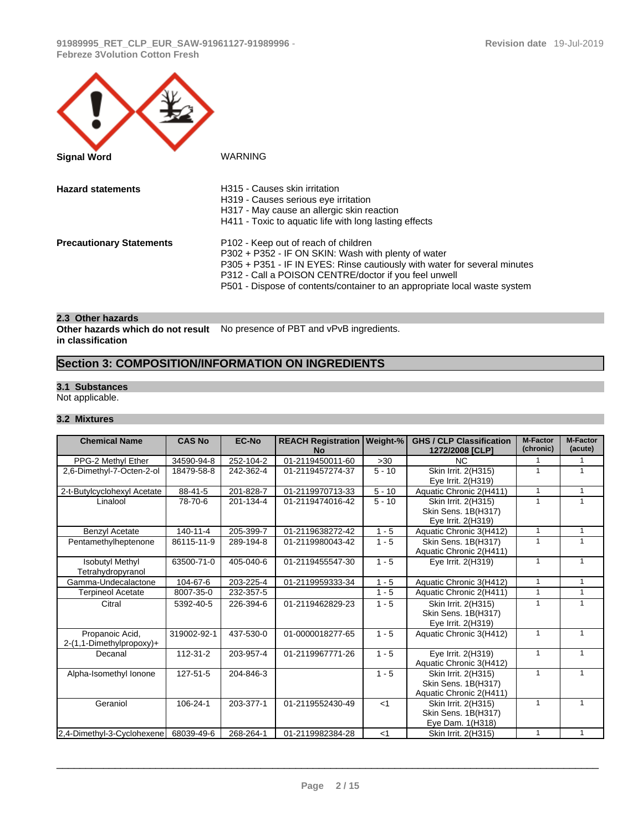| <b>Signal Word</b>              | <b>WARNING</b>                                                                                                                                                                                                                                                                                                 |
|---------------------------------|----------------------------------------------------------------------------------------------------------------------------------------------------------------------------------------------------------------------------------------------------------------------------------------------------------------|
| <b>Hazard statements</b>        | H315 - Causes skin irritation<br>H319 - Causes serious eye irritation<br>H317 - May cause an allergic skin reaction<br>H411 - Toxic to aquatic life with long lasting effects                                                                                                                                  |
| <b>Precautionary Statements</b> | P102 - Keep out of reach of children<br>P302 + P352 - IF ON SKIN: Wash with plenty of water<br>P305 + P351 - IF IN EYES: Rinse cautiously with water for several minutes<br>P312 - Call a POISON CENTRE/doctor if you feel unwell<br>P501 - Dispose of contents/container to an appropriate local waste system |

#### **2.3 Other hazards**

**Other hazards which do not result** No presence of PBT and vPvB ingredients. **in classification**

# **Section 3: COMPOSITION/INFORMATION ON INGREDIENTS**

#### **3.1 Substances**

Not applicable.

#### **3.2 Mixtures**

| <b>Chemical Name</b>                        | <b>CAS No</b> | <b>EC-No</b> | <b>REACH Registration</b><br><b>No</b> | Weight-% | <b>GHS / CLP Classification</b><br>1272/2008 [CLP]                    | <b>M-Factor</b><br>(chronic) | <b>M-Factor</b><br>(acute) |
|---------------------------------------------|---------------|--------------|----------------------------------------|----------|-----------------------------------------------------------------------|------------------------------|----------------------------|
| PPG-2 Methyl Ether                          | 34590-94-8    | 252-104-2    | 01-2119450011-60                       | >30      | <b>NC</b>                                                             |                              | $\mathbf{1}$               |
| 2,6-Dimethyl-7-Octen-2-ol                   | 18479-58-8    | 242-362-4    | 01-2119457274-37                       | $5 - 10$ | Skin Irrit. 2(H315)<br>Eye Irrit. 2(H319)                             | $\mathbf{1}$                 | $\mathbf{1}$               |
| 2-t-Butylcyclohexyl Acetate                 | 88-41-5       | 201-828-7    | 01-2119970713-33                       | $5 - 10$ | Aquatic Chronic 2(H411)                                               | $\mathbf{1}$                 | $\mathbf{1}$               |
| Linalool                                    | 78-70-6       | 201-134-4    | 01-2119474016-42                       | $5 - 10$ | Skin Irrit. 2(H315)<br>Skin Sens. 1B(H317)<br>Eye Irrit. 2(H319)      |                              | $\mathbf{1}$               |
| Benzyl Acetate                              | 140-11-4      | 205-399-7    | 01-2119638272-42                       | $1 - 5$  | Aquatic Chronic 3(H412)                                               | 1                            | $\mathbf{1}$               |
| Pentamethylheptenone                        | 86115-11-9    | 289-194-8    | 01-2119980043-42                       | $1 - 5$  | Skin Sens. 1B(H317)<br>Aquatic Chronic 2(H411)                        |                              | $\mathbf{1}$               |
| <b>Isobutyl Methyl</b><br>Tetrahydropyranol | 63500-71-0    | 405-040-6    | 01-2119455547-30                       | $1 - 5$  | Eye Irrit. 2(H319)                                                    | $\mathbf{1}$                 | $\mathbf{1}$               |
| Gamma-Undecalactone                         | 104-67-6      | 203-225-4    | 01-2119959333-34                       | $1 - 5$  | Aquatic Chronic 3(H412)                                               | $\mathbf{1}$                 | $\mathbf{1}$               |
| <b>Terpineol Acetate</b>                    | 8007-35-0     | 232-357-5    |                                        | $1 - 5$  | Aquatic Chronic 2(H411)                                               |                              | $\mathbf{1}$               |
| Citral                                      | 5392-40-5     | 226-394-6    | 01-2119462829-23                       | $1 - 5$  | Skin Irrit. 2(H315)<br>Skin Sens. 1B(H317)<br>Eye Irrit. 2(H319)      | 1                            | $\mathbf{1}$               |
| Propanoic Acid,<br>2-(1,1-Dimethylpropoxy)+ | 319002-92-1   | 437-530-0    | 01-0000018277-65                       | $1 - 5$  | Aquatic Chronic 3(H412)                                               |                              | $\mathbf{1}$               |
| Decanal                                     | 112-31-2      | 203-957-4    | 01-2119967771-26                       | $1 - 5$  | Eye Irrit. 2(H319)<br>Aquatic Chronic 3(H412)                         | 1                            | $\mathbf{1}$               |
| Alpha-Isomethyl Ionone                      | 127-51-5      | 204-846-3    |                                        | $1 - 5$  | Skin Irrit. 2(H315)<br>Skin Sens. 1B(H317)<br>Aquatic Chronic 2(H411) | 1                            | $\mathbf{1}$               |
| Geraniol                                    | 106-24-1      | 203-377-1    | 01-2119552430-49                       | $<$ 1    | Skin Irrit. 2(H315)<br>Skin Sens. 1B(H317)<br>Eye Dam. 1(H318)        |                              | $\mathbf{1}$               |
| 2,4-Dimethyl-3-Cyclohexene                  | 68039-49-6    | 268-264-1    | 01-2119982384-28                       | $<$ 1    | Skin Irrit. 2(H315)                                                   | 1                            | $\mathbf{1}$               |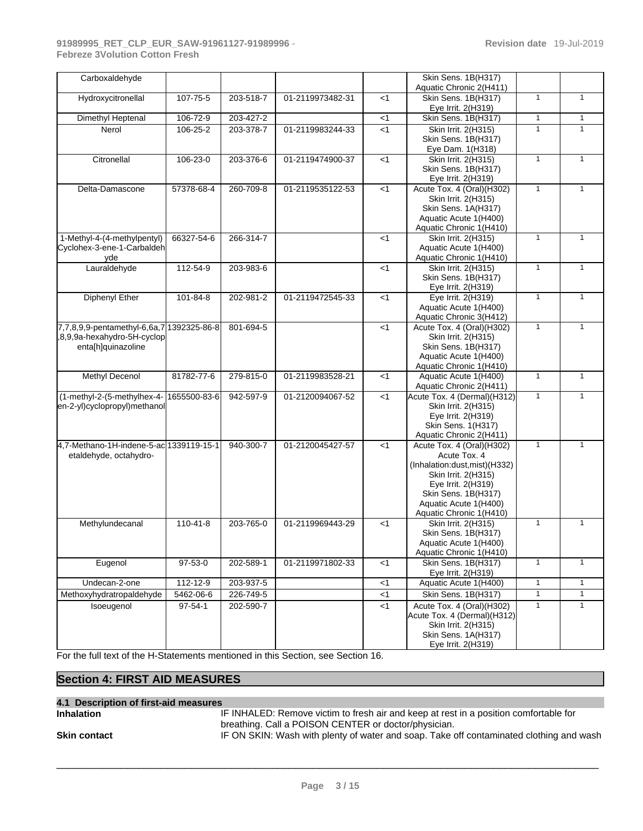| Carboxaldehyde                            |              |           |                  |                | Skin Sens. 1B(H317)<br>Aquatic Chronic 2(H411) |              |              |
|-------------------------------------------|--------------|-----------|------------------|----------------|------------------------------------------------|--------------|--------------|
| Hydroxycitronellal                        | 107-75-5     | 203-518-7 | 01-2119973482-31 | $<$ 1          | <b>Skin Sens. 1B(H317)</b>                     | $\mathbf{1}$ | $\mathbf{1}$ |
| <b>Dimethyl Heptenal</b>                  | 106-72-9     | 203-427-2 |                  | $<$ 1          | Eye Irrit. 2(H319)<br>Skin Sens. 1B(H317)      | $\mathbf{1}$ | $\mathbf{1}$ |
| Nerol                                     | 106-25-2     | 203-378-7 | 01-2119983244-33 | $\overline{5}$ | Skin Irrit. 2(H315)                            | $\mathbf{1}$ | $\mathbf{1}$ |
|                                           |              |           |                  |                | Skin Sens. 1B(H317)                            |              |              |
|                                           |              |           |                  |                | Eye Dam. 1(H318)                               |              |              |
| Citronellal                               | 106-23-0     | 203-376-6 | 01-2119474900-37 | $<$ 1          | Skin Irrit. 2(H315)                            | $\mathbf{1}$ | $\mathbf{1}$ |
|                                           |              |           |                  |                | Skin Sens. 1B(H317)                            |              |              |
|                                           |              |           |                  |                | Eye Irrit. 2(H319)                             |              |              |
| Delta-Damascone                           | 57378-68-4   | 260-709-8 | 01-2119535122-53 | $<$ 1          | Acute Tox. 4 (Oral)(H302)                      | $\mathbf{1}$ | $\mathbf{1}$ |
|                                           |              |           |                  |                | Skin Irrit. 2(H315)                            |              |              |
|                                           |              |           |                  |                | Skin Sens. 1A(H317)                            |              |              |
|                                           |              |           |                  |                | Aquatic Acute 1(H400)                          |              |              |
|                                           |              |           |                  |                | Aquatic Chronic 1(H410)                        |              |              |
| 1-Methyl-4-(4-methylpentyl)               | 66327-54-6   | 266-314-7 |                  | $<$ 1          | Skin Irrit. 2(H315)                            | $\mathbf{1}$ | $\mathbf{1}$ |
| Cyclohex-3-ene-1-Carbaldeh                |              |           |                  |                | Aquatic Acute 1(H400)                          |              |              |
| yde                                       |              |           |                  |                | Aquatic Chronic 1(H410)                        |              |              |
| Lauraldehyde                              | 112-54-9     | 203-983-6 |                  | $<$ 1          | Skin Irrit. 2(H315)                            | $\mathbf{1}$ | $\mathbf{1}$ |
|                                           |              |           |                  |                | Skin Sens. 1B(H317)<br>Eye Irrit. 2(H319)      |              |              |
| Diphenyl Ether                            | 101-84-8     | 202-981-2 | 01-2119472545-33 | $<$ 1          | Eye Irrit. 2(H319)                             | $\mathbf{1}$ | $\mathbf{1}$ |
|                                           |              |           |                  |                | Aquatic Acute 1(H400)                          |              |              |
|                                           |              |           |                  |                | Aquatic Chronic 3(H412)                        |              |              |
| 7,7,8,9,9-pentamethyl-6,6a,7 1392325-86-8 |              | 801-694-5 |                  | $<$ 1          | Acute Tox. 4 (Oral)(H302)                      | $\mathbf{1}$ | $\mathbf{1}$ |
| 8,9,9a-hexahydro-5H-cyclop                |              |           |                  |                | Skin Irrit. 2(H315)                            |              |              |
| enta[h]quinazoline                        |              |           |                  |                | Skin Sens. 1B(H317)                            |              |              |
|                                           |              |           |                  |                | Aquatic Acute 1(H400)                          |              |              |
|                                           |              |           |                  |                | Aquatic Chronic 1(H410)                        |              |              |
| Methyl Decenol                            | 81782-77-6   | 279-815-0 | 01-2119983528-21 | $<$ 1          | Aquatic Acute 1(H400)                          | $\mathbf{1}$ | $\mathbf{1}$ |
|                                           |              |           |                  |                | Aquatic Chronic 2(H411)                        |              |              |
| (1-methyl-2-(5-methylhex-4-               | 1655500-83-6 | 942-597-9 | 01-2120094067-52 | $<$ 1          | Acute Tox. 4 (Dermal)(H312)                    | $\mathbf{1}$ | $\mathbf{1}$ |
| en-2-yl)cyclopropyl)methanol              |              |           |                  |                | Skin Irrit. 2(H315)                            |              |              |
|                                           |              |           |                  |                | Eye Irrit. 2(H319)                             |              |              |
|                                           |              |           |                  |                | Skin Sens. 1(H317)                             |              |              |
|                                           |              |           |                  |                | Aquatic Chronic 2(H411)                        |              |              |
| 4,7-Methano-1H-indene-5-ac 1339119-15-1   |              | 940-300-7 | 01-2120045427-57 | $<$ 1          | Acute Tox. 4 (Oral)(H302)                      | $\mathbf{1}$ | $\mathbf{1}$ |
| etaldehyde, octahydro-                    |              |           |                  |                | Acute Tox, 4                                   |              |              |
|                                           |              |           |                  |                | (Inhalation:dust, mist) (H332)                 |              |              |
|                                           |              |           |                  |                | Skin Irrit. 2(H315)<br>Eye Irrit. 2(H319)      |              |              |
|                                           |              |           |                  |                | Skin Sens. 1B(H317)                            |              |              |
|                                           |              |           |                  |                | Aquatic Acute 1(H400)                          |              |              |
|                                           |              |           |                  |                | Aquatic Chronic 1(H410)                        |              |              |
| Methylundecanal                           | 110-41-8     | 203-765-0 | 01-2119969443-29 | $<$ 1          | Skin Irrit. 2(H315)                            | 1            | $\mathbf{1}$ |
|                                           |              |           |                  |                | <b>Skin Sens. 1B(H317)</b>                     |              |              |
|                                           |              |           |                  |                | Aquatic Acute 1(H400)                          |              |              |
|                                           |              |           |                  |                | Aquatic Chronic 1(H410)                        |              |              |
| Eugenol                                   | 97-53-0      | 202-589-1 | 01-2119971802-33 | $<$ 1          | Skin Sens. 1B(H317)                            | 1            | $\mathbf{1}$ |
|                                           |              |           |                  |                | Eye Irrit. 2(H319)                             |              |              |
| Undecan-2-one                             | 112-12-9     | 203-937-5 |                  | $<$ 1          | Aquatic Acute 1(H400)                          | $\mathbf{1}$ | $\mathbf{1}$ |
| Methoxyhydratropaldehyde                  | 5462-06-6    | 226-749-5 |                  | $<$ 1          | <b>Skin Sens. 1B(H317)</b>                     | $\mathbf{1}$ | $\mathbf{1}$ |
| Isoeugenol                                | 97-54-1      | 202-590-7 |                  | $<$ 1          | Acute Tox. 4 (Oral)(H302)                      | $\mathbf{1}$ | $\mathbf{1}$ |
|                                           |              |           |                  |                | Acute Tox. 4 (Dermal)(H312)                    |              |              |
|                                           |              |           |                  |                | Skin Irrit. 2(H315)                            |              |              |
|                                           |              |           |                  |                | Skin Sens. 1A(H317)                            |              |              |
|                                           |              |           |                  |                | Eye Irrit. 2(H319)                             |              |              |

For the full text of the H-Statements mentioned in this Section, see Section 16.

## **Section 4: FIRST AID MEASURES**

# **4.1 Description of first-aid measures**

**IF INHALED: Remove victim to fresh air and keep at rest in a position comfortable for** breathing. Call a POISON CENTER or doctor/physician.

**Skin contact** IF ON SKIN: Wash with plenty of water and soap. Take off contaminated clothing and wash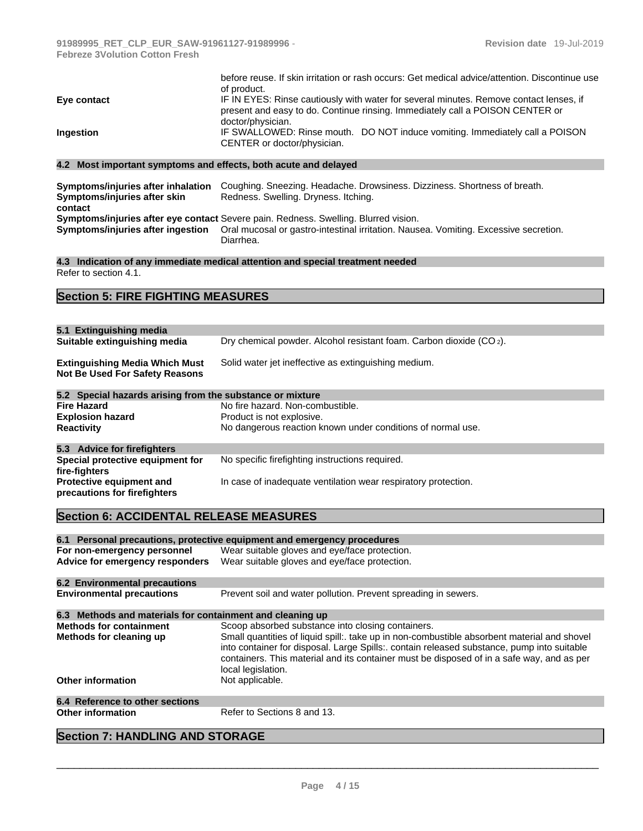|                  | before reuse. If skin irritation or rash occurs: Get medical advice/attention. Discontinue use<br>of product.                                                                                |
|------------------|----------------------------------------------------------------------------------------------------------------------------------------------------------------------------------------------|
| Eye contact      | IF IN EYES: Rinse cautiously with water for several minutes. Remove contact lenses, if<br>present and easy to do. Continue rinsing. Immediately call a POISON CENTER or<br>doctor/physician. |
| <b>Ingestion</b> | IF SWALLOWED: Rinse mouth. DO NOT induce vomiting. Immediately call a POISON<br>CENTER or doctor/physician.                                                                                  |
|                  |                                                                                                                                                                                              |

#### **4.2 Most important symptoms and effects, both acute and delayed**

| Symptoms/injuries after inhalation | Coughing. Sneezing. Headache. Drowsiness. Dizziness. Shortness of breath.                                                           |
|------------------------------------|-------------------------------------------------------------------------------------------------------------------------------------|
| Symptoms/injuries after skin       | Redness. Swelling. Dryness. Itching.                                                                                                |
| contact                            |                                                                                                                                     |
|                                    | Symptoms/injuries after eye contact Severe pain. Redness. Swelling. Blurred vision.                                                 |
|                                    | Symptoms/injuries after ingestion Oral mucosal or gastro-intestinal irritation. Nausea. Vomiting. Excessive secretion.<br>Diarrhea. |

**4.3 Indication of any immediate medical attention and special treatment needed** Refer to section 4.1.

# **Section 5: FIRE FIGHTING MEASURES**

| 5.1 Extinguishing media                                                        |                                                                                 |
|--------------------------------------------------------------------------------|---------------------------------------------------------------------------------|
| Suitable extinguishing media                                                   | Dry chemical powder. Alcohol resistant foam. Carbon dioxide (CO <sub>2</sub> ). |
| <b>Extinguishing Media Which Must</b><br><b>Not Be Used For Safety Reasons</b> | Solid water jet ineffective as extinguishing medium.                            |
| 5.2 Special hazards arising from the substance or mixture                      |                                                                                 |
| <b>Fire Hazard</b>                                                             | No fire hazard. Non-combustible.                                                |
| <b>Explosion hazard</b>                                                        | Product is not explosive.                                                       |
| <b>Reactivity</b>                                                              | No dangerous reaction known under conditions of normal use.                     |
| 5.3 Advice for firefighters                                                    |                                                                                 |
| Special protective equipment for<br>fire-fighters                              | No specific firefighting instructions required.                                 |
| <b>Protective equipment and</b><br>precautions for firefighters                | In case of inadequate ventilation wear respiratory protection.                  |

# **Section 6: ACCIDENTAL RELEASE MEASURES**

|                                                           | 6.1 Personal precautions, protective equipment and emergency procedures                                                                                                                                                                                                                                      |
|-----------------------------------------------------------|--------------------------------------------------------------------------------------------------------------------------------------------------------------------------------------------------------------------------------------------------------------------------------------------------------------|
| For non-emergency personnel                               | Wear suitable gloves and eye/face protection.                                                                                                                                                                                                                                                                |
|                                                           |                                                                                                                                                                                                                                                                                                              |
| Advice for emergency responders                           | Wear suitable gloves and eye/face protection.                                                                                                                                                                                                                                                                |
| 6.2 Environmental precautions                             |                                                                                                                                                                                                                                                                                                              |
| <b>Environmental precautions</b>                          | Prevent soil and water pollution. Prevent spreading in sewers.                                                                                                                                                                                                                                               |
| 6.3 Methods and materials for containment and cleaning up |                                                                                                                                                                                                                                                                                                              |
| <b>Methods for containment</b>                            | Scoop absorbed substance into closing containers.                                                                                                                                                                                                                                                            |
| Methods for cleaning up                                   | Small quantities of liquid spill:. take up in non-combustible absorbent material and shovel<br>into container for disposal. Large Spills:. contain released substance, pump into suitable<br>containers. This material and its container must be disposed of in a safe way, and as per<br>local legislation. |
| <b>Other information</b>                                  | Not applicable.                                                                                                                                                                                                                                                                                              |
| 6.4 Reference to other sections                           |                                                                                                                                                                                                                                                                                                              |
| <b>Other information</b>                                  | Refer to Sections 8 and 13.                                                                                                                                                                                                                                                                                  |

#### **Section 7: HANDLING AND STORAGE**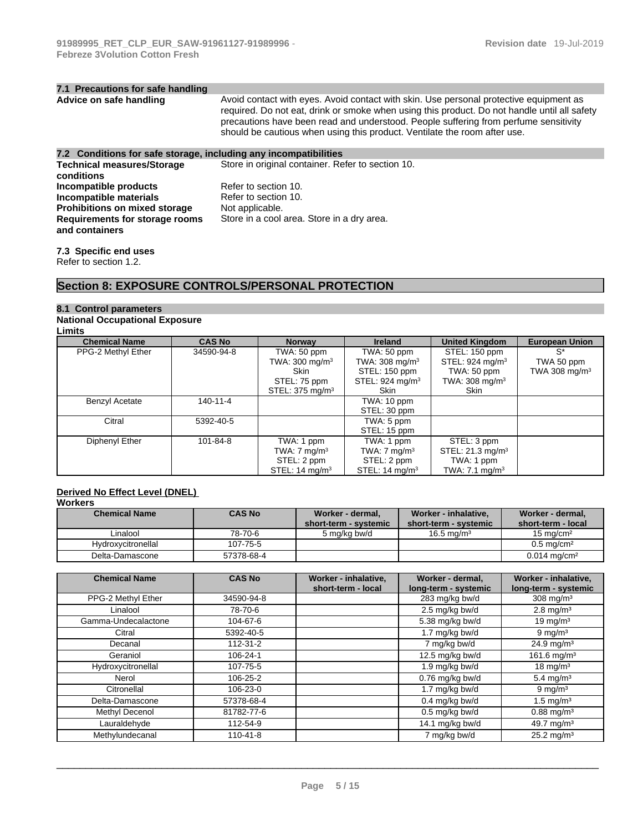| 7.1 Precautions for safe handling                                |                                                                                                                                                                                                                                                                                                                                                             |
|------------------------------------------------------------------|-------------------------------------------------------------------------------------------------------------------------------------------------------------------------------------------------------------------------------------------------------------------------------------------------------------------------------------------------------------|
| Advice on safe handling                                          | Avoid contact with eyes. Avoid contact with skin. Use personal protective equipment as<br>required. Do not eat, drink or smoke when using this product. Do not handle until all safety<br>precautions have been read and understood. People suffering from perfume sensitivity<br>should be cautious when using this product. Ventilate the room after use. |
| 7.2 Conditions for safe storage, including any incompatibilities |                                                                                                                                                                                                                                                                                                                                                             |
| <b>Technical measures/Storage</b>                                | Store in original container. Refer to section 10.                                                                                                                                                                                                                                                                                                           |
| conditions                                                       |                                                                                                                                                                                                                                                                                                                                                             |
| Incompatible products                                            | Refer to section 10.                                                                                                                                                                                                                                                                                                                                        |
| Incompatible materials                                           | Refer to section 10.                                                                                                                                                                                                                                                                                                                                        |
| Prohibitions on mixed storage                                    | Not applicable.                                                                                                                                                                                                                                                                                                                                             |
| Requirements for storage rooms<br>and containers                 | Store in a cool area. Store in a dry area.                                                                                                                                                                                                                                                                                                                  |

**7.3 Specific end uses**  Refer to section 1.2.

## **Section 8: EXPOSURE CONTROLS/PERSONAL PROTECTION**

# **8.1 Control parameters**

# **National Occupational Exposure**

| Limits               |               |                             |                            |                              |                           |
|----------------------|---------------|-----------------------------|----------------------------|------------------------------|---------------------------|
| <b>Chemical Name</b> | <b>CAS No</b> | <b>Norway</b>               | <b>Ireland</b>             | <b>United Kingdom</b>        | <b>European Union</b>     |
| PPG-2 Methyl Ether   | 34590-94-8    | TWA: 50 ppm                 | TWA: 50 ppm                | STEL: 150 ppm                | $S^*$                     |
|                      |               | TWA: $300 \text{ mg/m}^3$   | TWA: $308 \text{ mg/m}^3$  | STEL: $924 \text{ mg/m}^3$   | TWA 50 ppm                |
|                      |               | Skin                        | STEL: 150 ppm              | TWA: 50 ppm                  | TWA 308 mg/m <sup>3</sup> |
|                      |               | STEL: 75 ppm                | STEL: $924 \text{ mg/m}^3$ | TWA: $308 \text{ mg/m}^3$    |                           |
|                      |               | STEL: 375 mg/m <sup>3</sup> | Skin                       | Skin                         |                           |
| Benzyl Acetate       | 140-11-4      |                             | TWA: 10 ppm                |                              |                           |
|                      |               |                             | STEL: 30 ppm               |                              |                           |
| Citral               | 5392-40-5     |                             | TWA: 5 ppm                 |                              |                           |
|                      |               |                             | STEL: 15 ppm               |                              |                           |
| Diphenyl Ether       | 101-84-8      | TWA: 1 ppm                  | TWA: 1 ppm                 | STEL: 3 ppm                  |                           |
|                      |               | TWA: $7 \text{ mg/m}^3$     | TWA: $7 \text{ mg/m}^3$    | STEL: 21.3 mg/m <sup>3</sup> |                           |
|                      |               | STEL: 2 ppm                 | STEL: 2 ppm                | TWA: 1 ppm                   |                           |
|                      |               | STEL: $14 \text{ mg/m}^3$   | STEL: $14 \text{ mq/m}^3$  | TWA: $7.1 \text{ mg/m}^3$    |                           |

# **Derived No Effect Level (DNEL)**

#### **Workers**

| <b>Chemical Name</b> | <b>CAS No</b> | Worker - dermal,      | Worker - inhalative.   | Worker - dermal,          |
|----------------------|---------------|-----------------------|------------------------|---------------------------|
|                      |               | short-term - systemic | short-term - systemic  | short-term - local        |
| ∟inalool             | 78-70-6       | 5 ma/ka bw/d          | 16.5 ma/m <sup>3</sup> | $15 \text{ ma/cm}^2$      |
| Hydroxycitronellal   | 107-75-5      |                       |                        | $0.5$ ma/cm <sup>2</sup>  |
| Delta-Damascone      | 57378-68-4    |                       |                        | $0.014 \; \text{mq/cm}^2$ |

| <b>Chemical Name</b> | <b>CAS No</b>  | Worker - inhalative,<br>short-term - local | Worker - dermal.<br>long-term - systemic | Worker - inhalative.<br>long-term - systemic |
|----------------------|----------------|--------------------------------------------|------------------------------------------|----------------------------------------------|
| PPG-2 Methyl Ether   | 34590-94-8     |                                            | 283 mg/kg bw/d                           | 308 mg/m $3$                                 |
| Linalool             | 78-70-6        |                                            | 2.5 mg/kg bw/d                           | $2.8$ mg/m <sup>3</sup>                      |
| Gamma-Undecalactone  | 104-67-6       |                                            | 5.38 mg/kg bw/d                          | 19 mg/m $3$                                  |
| Citral               | 5392-40-5      |                                            | 1.7 mg/kg bw/d                           | $9 \text{ mg/m}^3$                           |
| Decanal              | 112-31-2       |                                            | 7 mg/kg bw/d                             | $24.9 \text{ mg/m}^3$                        |
| Geraniol             | 106-24-1       |                                            | 12.5 mg/kg bw/d                          | 161.6 mg/m <sup>3</sup>                      |
| Hydroxycitronellal   | 107-75-5       |                                            | 1.9 mg/kg bw/d                           | $18 \text{ mg/m}^3$                          |
| Nerol                | 106-25-2       |                                            | $0.76$ mg/kg bw/d                        | 5.4 mg/m <sup>3</sup>                        |
| Citronellal          | 106-23-0       |                                            | 1.7 mg/kg bw/d                           | $9 \text{ mg/m}^3$                           |
| Delta-Damascone      | 57378-68-4     |                                            | $0.4$ mg/kg bw/d                         | $1.5 \,\mathrm{mq/m^3}$                      |
| Methyl Decenol       | 81782-77-6     |                                            | $0.5$ mg/kg bw/d                         | $0.88 \text{ mg/m}^3$                        |
| Lauraldehyde         | 112-54-9       |                                            | 14.1 mg/kg bw/d                          | 49.7 $mq/m3$                                 |
| Methylundecanal      | $110 - 41 - 8$ |                                            | 7 mg/kg bw/d                             | $25.2 \text{ mg/m}^3$                        |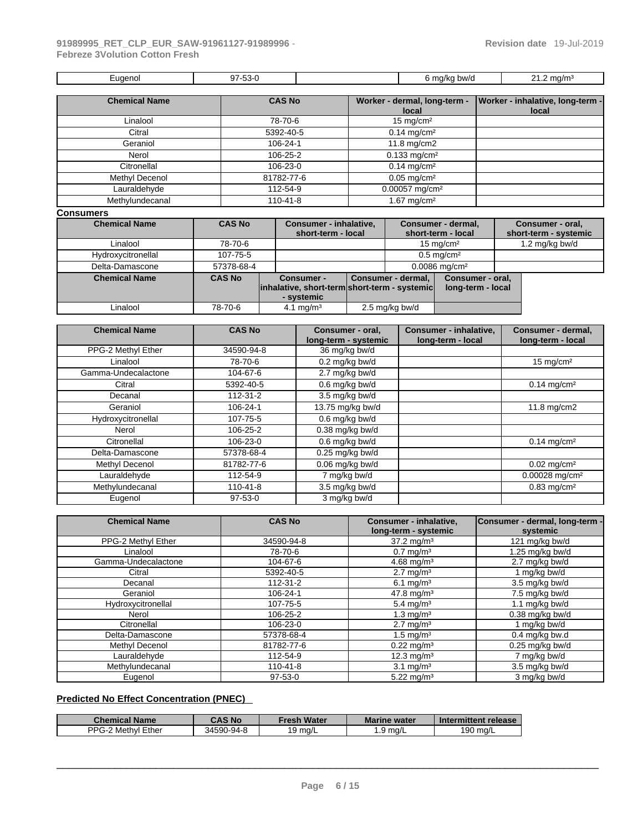|  | :uaeno'<br>-- | $-$<br>-ეე-ს<br>.<br>. |  | bw/d<br>i ma/kr<br>$\cdot$ $\cdot$ | ma/m-<br>. . |
|--|---------------|------------------------|--|------------------------------------|--------------|
|--|---------------|------------------------|--|------------------------------------|--------------|

| <b>Chemical Name</b> | <b>CAS No</b> | Worker - dermal, long-term - | Worker - inhalative, long-term - |
|----------------------|---------------|------------------------------|----------------------------------|
|                      |               | local                        | local                            |
| Linalool             | 78-70-6       | $15 \text{ mg/cm}^2$         |                                  |
| Citral               | 5392-40-5     | $0.14$ mg/cm <sup>2</sup>    |                                  |
| Geraniol             | 106-24-1      | 11.8 mg/cm2                  |                                  |
| Nerol                | 106-25-2      | $0.133$ mg/cm <sup>2</sup>   |                                  |
| Citronellal          | 106-23-0      | $0.14$ mg/cm <sup>2</sup>    |                                  |
| Methyl Decenol       | 81782-77-6    | $0.05$ mg/cm <sup>2</sup>    |                                  |
| Lauraldehyde         | 112-54-9      | 0.00057 mg/cm <sup>2</sup>   |                                  |
| Methylundecanal      | 110-41-8      | 1.67 mg/cm $2$               |                                  |
|                      |               |                              |                                  |

#### **Consumers**

| <b>Chemical Name</b> | <b>CAS No</b> | <b>Consumer - inhalative,</b><br>short-term - local                             |                    | Consumer - dermal,<br>short-term - local | Consumer - oral,<br>short-term - systemic |
|----------------------|---------------|---------------------------------------------------------------------------------|--------------------|------------------------------------------|-------------------------------------------|
| Linalool             | 78-70-6       |                                                                                 |                    | $15 \text{ mg/cm}^2$                     | 1.2 mg/kg bw/d                            |
| Hydroxycitronellal   | 107-75-5      |                                                                                 |                    | $0.5 \text{ mg/cm}^2$                    |                                           |
| Delta-Damascone      | 57378-68-4    |                                                                                 |                    | $0.0086$ mg/cm <sup>2</sup>              |                                           |
| <b>Chemical Name</b> | <b>CAS No</b> | <b>Consumer -</b><br>inhalative, short-term short-term - systemic<br>- systemic | Consumer - dermal, | Consumer - oral,<br>long-term - local    |                                           |
| Linalool             | 78-70-6       | 4.1 mg/m <sup>3</sup>                                                           | 2.5 mg/kg bw/d     |                                          |                                           |

| <b>Chemical Name</b> | <b>CAS No</b> | Consumer - oral,<br>long-term - systemic | <b>Consumer - inhalative,</b><br>long-term - local | Consumer - dermal,<br>long-term - local |
|----------------------|---------------|------------------------------------------|----------------------------------------------------|-----------------------------------------|
| PPG-2 Methyl Ether   | 34590-94-8    | 36 mg/kg bw/d                            |                                                    |                                         |
| Linalool             | 78-70-6       | $0.2$ mg/kg bw/d                         |                                                    | 15 mg/cm $2$                            |
| Gamma-Undecalactone  | 104-67-6      | 2.7 mg/kg bw/d                           |                                                    |                                         |
| Citral               | 5392-40-5     | 0.6 mg/kg bw/d                           |                                                    | $0.14$ mg/cm <sup>2</sup>               |
| Decanal              | 112-31-2      | 3.5 mg/kg bw/d                           |                                                    |                                         |
| Geraniol             | 106-24-1      | 13.75 mg/kg bw/d                         |                                                    | 11.8 mg/cm2                             |
| Hydroxycitronellal   | 107-75-5      | 0.6 mg/kg bw/d                           |                                                    |                                         |
| Nerol                | 106-25-2      | $0.38$ mg/kg bw/d                        |                                                    |                                         |
| Citronellal          | 106-23-0      | $0.6$ mg/kg bw/d                         |                                                    | $0.14$ mg/cm <sup>2</sup>               |
| Delta-Damascone      | 57378-68-4    | $0.25$ mg/kg bw/d                        |                                                    |                                         |
| Methyl Decenol       | 81782-77-6    | $0.06$ mg/kg bw/d                        |                                                    | $0.02$ mg/cm <sup>2</sup>               |
| Lauraldehyde         | 112-54-9      | 7 mg/kg bw/d                             |                                                    | $0.00028$ mg/cm <sup>2</sup>            |
| Methylundecanal      | 110-41-8      | 3.5 mg/kg bw/d                           |                                                    | $0.83$ mg/cm <sup>2</sup>               |
| Eugenol              | $97-53-0$     | 3 mg/kg bw/d                             |                                                    |                                         |

| <b>Chemical Name</b> | <b>CAS No</b> | <b>Consumer - inhalative,</b><br>long-term - systemic | Consumer - dermal, long-term -<br>systemic |
|----------------------|---------------|-------------------------------------------------------|--------------------------------------------|
| PPG-2 Methyl Ether   | 34590-94-8    | $37.2 \text{ mg/m}^3$                                 | 121 mg/kg bw/d                             |
| Linalool             | 78-70-6       | $0.7 \text{ mg/m}^3$                                  | 1.25 mg/kg bw/d                            |
| Gamma-Undecalactone  | 104-67-6      | 4.68 mg/m <sup>3</sup>                                | 2.7 mg/kg bw/d                             |
| Citral               | 5392-40-5     | $2.7 \text{ mg/m}^3$                                  | mg/kg bw/d                                 |
| Decanal              | 112-31-2      | 6.1 mg/m <sup>3</sup>                                 | 3.5 mg/kg bw/d                             |
| Geraniol             | 106-24-1      | 47.8 mg/m <sup>3</sup>                                | 7.5 mg/kg bw/d                             |
| Hydroxycitronellal   | 107-75-5      | $5.4 \text{ mg/m}^3$                                  | 1.1 mg/kg bw/d                             |
| Nerol                | 106-25-2      | $1.3 \text{ mg/m}^3$                                  | 0.38 mg/kg bw/d                            |
| Citronellal          | 106-23-0      | $2.7 \text{ mg/m}^3$                                  | mg/kg bw/d                                 |
| Delta-Damascone      | 57378-68-4    | 1.5 mg/ $m3$                                          | $0.4$ mg/kg bw.d                           |
| Methyl Decenol       | 81782-77-6    | $0.22 \text{ mg/m}^3$                                 | $0.25$ mg/kg bw/d                          |
| Lauraldehyde         | 112-54-9      | $12.3 \text{ mg/m}^3$                                 | 7 mg/kg bw/d                               |
| Methylundecanal      | 110-41-8      | 3.1 mg/ $m3$                                          | 3.5 mg/kg bw/d                             |
| Eugenol              | $97-53-0$     | $5.22 \text{ mg/m}^3$                                 | 3 mg/kg bw/d                               |

### **Predicted No Effect Concentration (PNEC)**

| <b>Chemical Name</b>         | <b>CAS No</b> | Fresh Water       | <b>Marine water</b> | Intermittent release |
|------------------------------|---------------|-------------------|---------------------|----------------------|
| PPG .<br>Ether<br>?Methvl ∟. | 34590-94-8    | $9 \text{ rad/L}$ | 9 ma/L              | 190 mg/L             |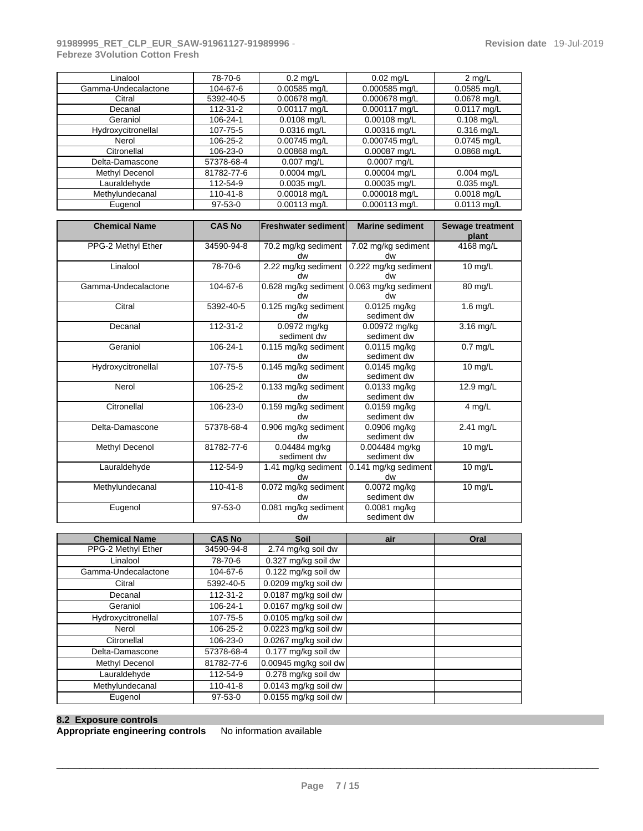#### **91989995\_RET\_CLP\_EUR\_SAW-91961127-91989996** - **Febreze 3Volution Cotton Fresh**

| Linalool            | 78-70-6       | $0.2 \text{ mq/L}$ | $0.02$ mg/L    | $2 \text{ mq/L}$ |
|---------------------|---------------|--------------------|----------------|------------------|
| Gamma-Undecalactone | 104-67-6      | $0.00585$ mg/L     | 0.000585 mg/L  | $0.0585$ mg/L    |
| Citral              | 5392-40-5     | $0.00678$ mg/L     | 0.000678 mg/L  | $0.0678$ mg/L    |
| Decanal             | 112-31-2      | $0.00117$ mg/L     | 0.000117 mg/L  | $0.0117$ mg/L    |
| Geraniol            | 106-24-1      | $0.0108$ mg/L      | $0.00108$ mg/L | $0.108$ mg/L     |
| Hydroxycitronellal  | 107-75-5      | $0.0316$ mg/L      | $0.00316$ mg/L | $0.316$ mg/L     |
| Nerol               | 106-25-2      | $0.00745$ mg/L     | 0.000745 mg/L  | $0.0745$ mg/L    |
| Citronellal         | 106-23-0      | $0.00868$ mg/L     | 0.00087 mg/L   | $0.0868$ mg/L    |
| Delta-Damascone     | 57378-68-4    | $0.007$ mg/L       | $0.0007$ mg/L  |                  |
| Methyl Decenol      | 81782-77-6    | $0.0004$ mg/L      | 0.00004 mg/L   | $0.004$ mg/L     |
| Lauraldehvde        | 112-54-9      | $0.0035$ mg/L      | $0.00035$ mg/L | $0.035$ mg/L     |
| Methylundecanal     | 110-41-8      | $0.00018$ mg/L     | 0.000018 mg/L  | $0.0018$ mg/L    |
| Eugenol             | $97 - 53 - 0$ | $0.00113$ mg/L     | 0.000113 mg/L  | $0.0113$ mg/L    |

| <b>Chemical Name</b> | <b>CAS No</b>  | <b>Freshwater sediment</b>   | <b>Marine sediment</b>                          | <b>Sewage treatment</b><br>plant |
|----------------------|----------------|------------------------------|-------------------------------------------------|----------------------------------|
| PPG-2 Methyl Ether   | 34590-94-8     | 70.2 mg/kg sediment<br>dw    | 7.02 mg/kg sediment<br>dw                       | 4168 mg/L                        |
| Linalool             | 78-70-6        | 2.22 mg/kg sediment<br>dw    | 0.222 mg/kg sediment<br>dw                      | $10$ mg/L                        |
| Gamma-Undecalactone  | 104-67-6       | dw                           | 0.628 mg/kg sediment 0.063 mg/kg sediment<br>dw | 80 mg/L                          |
| Citral               | 5392-40-5      | 0.125 mg/kg sediment<br>dw   | $0.0125$ mg/kg<br>sediment dw                   | 1.6 $mg/L$                       |
| Decanal              | 112-31-2       | 0.0972 mg/kg<br>sediment dw  | 0.00972 mg/kg<br>sediment dw                    | 3.16 mg/L                        |
| Geraniol             | 106-24-1       | 0.115 mg/kg sediment<br>dw   | 0.0115 mg/kg<br>sediment dw                     | $0.7$ mg/L                       |
| Hydroxycitronellal   | 107-75-5       | 0.145 mg/kg sediment<br>ub   | 0.0145 mg/kg<br>sediment dw                     | 10 $mg/L$                        |
| Nerol                | 106-25-2       | 0.133 mg/kg sediment<br>dw   | 0.0133 mg/kg<br>sediment dw                     | 12.9 mg/L                        |
| Citronellal          | 106-23-0       | 0.159 mg/kg sediment<br>up   | $0.0159$ mg/kg<br>sediment dw                   | 4 mg/L                           |
| Delta-Damascone      | 57378-68-4     | 0.906 mg/kg sediment<br>dw   | $0.0906$ mg/kg<br>sediment dw                   | 2.41 mg/L                        |
| Methyl Decenol       | 81782-77-6     | 0.04484 mg/kg<br>sediment dw | 0.004484 mg/kg<br>sediment dw                   | 10 $mg/L$                        |
| Lauraldehyde         | 112-54-9       | 1.41 mg/kg sediment<br>dw    | 0.141 mg/kg sediment<br>dw                      | 10 $mg/L$                        |
| Methylundecanal      | $110 - 41 - 8$ | 0.072 mg/kg sediment<br>dw   | 0.0072 mg/kg<br>sediment dw                     | 10 mg/L                          |
| Eugenol              | $97-53-0$      | 0.081 mg/kg sediment<br>dw   | 0.0081 mg/kg<br>sediment dw                     |                                  |

| <b>Chemical Name</b> | <b>CAS No</b>  | Soil                    | air | Oral |
|----------------------|----------------|-------------------------|-----|------|
| PPG-2 Methyl Ether   | 34590-94-8     | 2.74 mg/kg soil dw      |     |      |
| Linalool             | 78-70-6        | 0.327 mg/kg soil dw     |     |      |
| Gamma-Undecalactone  | 104-67-6       | 0.122 mg/kg soil dw     |     |      |
| Citral               | 5392-40-5      | 0.0209 mg/kg soil dw    |     |      |
| Decanal              | $112 - 31 - 2$ | 0.0187 mg/kg soil dw    |     |      |
| Geraniol             | 106-24-1       | 0.0167 mg/kg soil dw    |     |      |
| Hydroxycitronellal   | 107-75-5       | 0.0105 mg/kg soil dw    |     |      |
| Nerol                | 106-25-2       | 0.0223 mg/kg soil dw    |     |      |
| Citronellal          | 106-23-0       | 0.0267 mg/kg soil dw    |     |      |
| Delta-Damascone      | 57378-68-4     | 0.177 mg/kg soil dw     |     |      |
| Methyl Decenol       | 81782-77-6     | $0.00945$ mg/kg soil dw |     |      |
| Lauraldehyde         | 112-54-9       | 0.278 mg/kg soil dw     |     |      |
| Methylundecanal      | 110-41-8       | 0.0143 mg/kg soil dw    |     |      |
| Eugenol              | $97-53-0$      | 0.0155 mg/kg soil dw    |     |      |

#### **8.2 Exposure controls**

**Appropriate engineering controls** No information available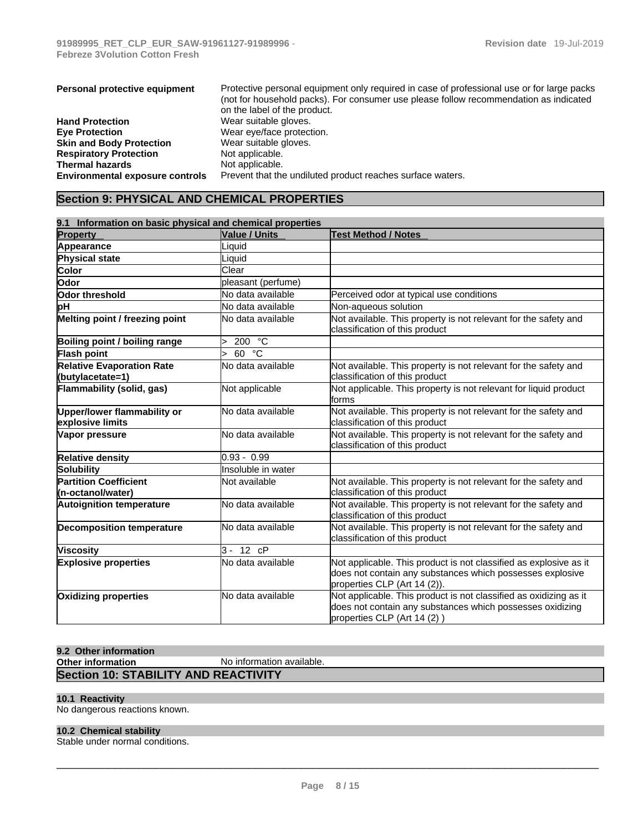| Personal protective equipment          | Protective personal equipment only required in case of professional use or for large packs |
|----------------------------------------|--------------------------------------------------------------------------------------------|
|                                        | (not for household packs). For consumer use please follow recommendation as indicated      |
|                                        | on the label of the product.                                                               |
| <b>Hand Protection</b>                 | Wear suitable gloves.                                                                      |
| <b>Eve Protection</b>                  | Wear eye/face protection.                                                                  |
| <b>Skin and Body Protection</b>        | Wear suitable gloves.                                                                      |
| <b>Respiratory Protection</b>          | Not applicable.                                                                            |
| <b>Thermal hazards</b>                 | Not applicable.                                                                            |
| <b>Environmental exposure controls</b> | Prevent that the undiluted product reaches surface waters.                                 |

# **Section 9: PHYSICAL AND CHEMICAL PROPERTIES**

| 9.1 Information on basic physical and chemical properties |                      |                                                                                                                                                                |  |  |
|-----------------------------------------------------------|----------------------|----------------------------------------------------------------------------------------------------------------------------------------------------------------|--|--|
| <b>Property</b>                                           | <b>Value / Units</b> | <b>Test Method / Notes</b>                                                                                                                                     |  |  |
| Appearance                                                | Liquid               |                                                                                                                                                                |  |  |
| Physical state                                            | Liquid               |                                                                                                                                                                |  |  |
| Color                                                     | Clear                |                                                                                                                                                                |  |  |
| Odor                                                      | pleasant (perfume)   |                                                                                                                                                                |  |  |
| Odor threshold                                            | No data available    | Perceived odor at typical use conditions                                                                                                                       |  |  |
| þН                                                        | No data available    | Non-aqueous solution                                                                                                                                           |  |  |
| Melting point / freezing point                            | No data available    | Not available. This property is not relevant for the safety and<br>classification of this product                                                              |  |  |
| Boiling point / boiling range                             | 200 °C               |                                                                                                                                                                |  |  |
| <b>Flash point</b>                                        | 60 °C                |                                                                                                                                                                |  |  |
| <b>Relative Evaporation Rate</b><br>(butylacetate=1)      | No data available    | Not available. This property is not relevant for the safety and<br>classification of this product                                                              |  |  |
| Flammability (solid, gas)                                 | Not applicable       | Not applicable. This property is not relevant for liquid product<br>forms                                                                                      |  |  |
| Upper/lower flammability or<br>explosive limits           | No data available    | Not available. This property is not relevant for the safety and<br>classification of this product                                                              |  |  |
| Vapor pressure                                            | No data available    | Not available. This property is not relevant for the safety and<br>classification of this product                                                              |  |  |
| <b>Relative density</b>                                   | $0.93 - 0.99$        |                                                                                                                                                                |  |  |
| Solubility                                                | Insoluble in water   |                                                                                                                                                                |  |  |
| <b>Partition Coefficient</b><br>(n-octanol/water)         | Not available        | Not available. This property is not relevant for the safety and<br>classification of this product                                                              |  |  |
| <b>Autoignition temperature</b>                           | No data available    | Not available. This property is not relevant for the safety and<br>classification of this product                                                              |  |  |
| <b>Decomposition temperature</b>                          | No data available    | Not available. This property is not relevant for the safety and<br>classification of this product                                                              |  |  |
| <b>Viscosity</b>                                          | $3 - 12$ $cP$        |                                                                                                                                                                |  |  |
| <b>Explosive properties</b>                               | No data available    | Not applicable. This product is not classified as explosive as it<br>does not contain any substances which possesses explosive<br>properties CLP (Art 14 (2)). |  |  |
| Oxidizing properties                                      | No data available    | Not applicable. This product is not classified as oxidizing as it<br>does not contain any substances which possesses oxidizing<br>properties CLP (Art 14 (2))  |  |  |

#### **9.2 Other information**

| Other information                           | No information available. |
|---------------------------------------------|---------------------------|
| <b>Section 10: STABILITY AND REACTIVITY</b> |                           |

#### **10.1 Reactivity**

No dangerous reactions known.

#### **10.2 Chemical stability**

Stable under normal conditions.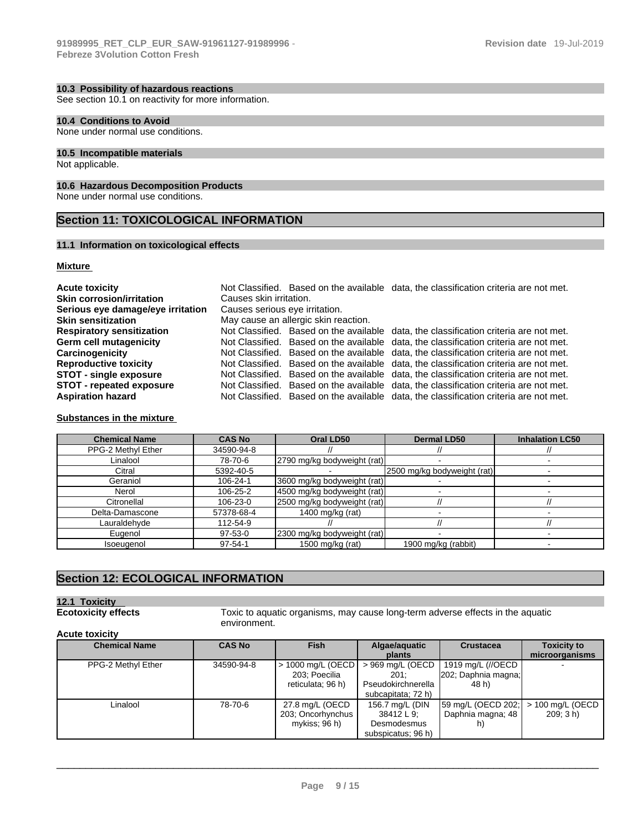See section 10.1 on reactivity for more information.

### **10.4 Conditions to Avoid**

None under normal use conditions.

#### **10.5 Incompatible materials**

Not applicable.

#### **10.6 Hazardous Decomposition Products**

None under normal use conditions.

### **Section 11: TOXICOLOGICAL INFORMATION**

#### **11.1 Information on toxicological effects**

#### **Mixture**

| <b>Acute toxicity</b>             |                                |                                      | Not Classified. Based on the available data, the classification criteria are not met. |  |  |
|-----------------------------------|--------------------------------|--------------------------------------|---------------------------------------------------------------------------------------|--|--|
| <b>Skin corrosion/irritation</b>  |                                | Causes skin irritation.              |                                                                                       |  |  |
| Serious eye damage/eye irritation | Causes serious eye irritation. |                                      |                                                                                       |  |  |
| <b>Skin sensitization</b>         |                                | May cause an allergic skin reaction. |                                                                                       |  |  |
| <b>Respiratory sensitization</b>  |                                |                                      | Not Classified. Based on the available data, the classification criteria are not met. |  |  |
| <b>Germ cell mutagenicity</b>     |                                |                                      | Not Classified. Based on the available data, the classification criteria are not met. |  |  |
| Carcinogenicity                   |                                |                                      | Not Classified. Based on the available data, the classification criteria are not met. |  |  |
| <b>Reproductive toxicity</b>      |                                |                                      | Not Classified. Based on the available data, the classification criteria are not met. |  |  |
| <b>STOT - single exposure</b>     |                                |                                      | Not Classified. Based on the available data, the classification criteria are not met. |  |  |
| <b>STOT</b> - repeated exposure   |                                |                                      | Not Classified. Based on the available data, the classification criteria are not met. |  |  |
| <b>Aspiration hazard</b>          |                                |                                      | Not Classified. Based on the available data, the classification criteria are not met. |  |  |

#### **Substances in the mixture**

| <b>Chemical Name</b> | <b>CAS No</b> | Oral LD50                   | <b>Dermal LD50</b>          | <b>Inhalation LC50</b> |
|----------------------|---------------|-----------------------------|-----------------------------|------------------------|
| PPG-2 Methyl Ether   | 34590-94-8    |                             |                             |                        |
| Linalool             | 78-70-6       | 2790 mg/kg bodyweight (rat) |                             |                        |
| Citral               | 5392-40-5     |                             | 2500 mg/kg bodyweight (rat) |                        |
| Geraniol             | 106-24-1      | 3600 mg/kg bodyweight (rat) |                             |                        |
| Nerol                | 106-25-2      | 4500 mg/kg bodyweight (rat) |                             |                        |
| Citronellal          | 106-23-0      | 2500 mg/kg bodyweight (rat) |                             |                        |
| Delta-Damascone      | 57378-68-4    | 1400 mg/kg (rat)            |                             |                        |
| Lauraldehyde         | 112-54-9      |                             |                             |                        |
| Eugenol              | $97-53-0$     | 2300 mg/kg bodyweight (rat) |                             |                        |
| Isoeugenol           | $97 - 54 - 1$ | 1500 mg/kg (rat)            | 1900 mg/kg (rabbit)         |                        |

### **Section 12: ECOLOGICAL INFORMATION**

# **12.1 Toxicity**

**Ecotoxicity effects** Toxic to aquatic organisms, may cause long-term adverse effects in the aquatic environment.

#### **Acute toxicity**

| <b>Chemical Name</b> | <b>CAS No</b> | <b>Fish</b>         | Algae/aquatic      | <b>Crustacea</b>    | <b>Toxicity to</b> |
|----------------------|---------------|---------------------|--------------------|---------------------|--------------------|
|                      |               |                     | plants             |                     | microorganisms     |
| PPG-2 Methyl Ether   | 34590-94-8    | $> 1000$ mg/L (OECD | > 969 mg/L (OECD   | 1919 mg/L (//OECD   |                    |
|                      |               | 203; Poecilia       | 201:               | 202; Daphnia magna; |                    |
|                      |               | reticulata; 96 h)   | Pseudokirchnerella | 48 h)               |                    |
|                      |               |                     | subcapitata; 72 h) |                     |                    |
| Linalool             | 78-70-6       | 27.8 mg/L (OECD     | 156.7 mg/L (DIN    | 59 mg/L (OECD 202;  | > 100 mg/L (OECD   |
|                      |               | 203; Oncorhynchus   | 38412 L 9:         | Daphnia magna; 48   | 209:3 h)           |
|                      |               | mykiss: 96 h)       | Desmodesmus        | h)                  |                    |
|                      |               |                     | subspicatus; 96 h) |                     |                    |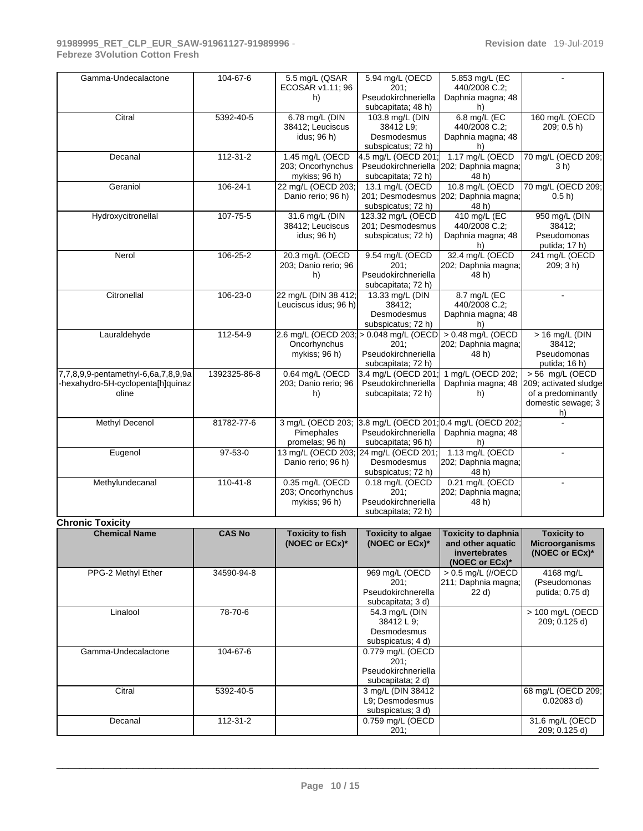| Gamma-Undecalactone                                                               | 104-67-6       | 5.5 mg/L (QSAR<br>ECOSAR v1.11; 96<br>h)              | 5.94 mg/L (OECD<br>201:<br>Pseudokirchneriella<br>subcapitata; 48 h)              | 5.853 mg/L (EC<br>440/2008 C.2;<br>Daphnia magna; 48<br>h)                    |                                                                                              |
|-----------------------------------------------------------------------------------|----------------|-------------------------------------------------------|-----------------------------------------------------------------------------------|-------------------------------------------------------------------------------|----------------------------------------------------------------------------------------------|
| Citral                                                                            | 5392-40-5      | 6.78 mg/L (DIN<br>38412; Leuciscus<br>idus; 96 h)     | 103.8 mg/L (DIN<br>38412 L9;<br>Desmodesmus<br>subspicatus; 72 h)                 | 6.8 mg/L (EC<br>440/2008 C.2;<br>Daphnia magna; 48<br>h)                      | 160 mg/L (OECD<br>209; 0.5 h                                                                 |
| Decanal                                                                           | 112-31-2       | 1.45 mg/L (OECD<br>203; Oncorhynchus<br>mykiss; 96 h) | 4.5 mg/L (OECD 201;<br>Pseudokirchneriella<br>subcapitata; 72 h)                  | 1.17 mg/L (OECD<br>202; Daphnia magna;<br>48 h)                               | 70 mg/L (OECD 209;<br>$3h$ )                                                                 |
| Geraniol                                                                          | 106-24-1       | 22 mg/L (OECD 203;<br>Danio rerio; 96 h)              | 13.1 mg/L (OECD<br>201; Desmodesmus<br>subspicatus; 72 h)                         | 10.8 mg/L (OECD<br>202; Daphnia magna;<br>48 h)                               | 70 mg/L (OECD 209;<br>0.5 h                                                                  |
| Hydroxycitronellal                                                                | 107-75-5       | 31.6 mg/L (DIN<br>38412; Leuciscus<br>idus; 96 h)     | 123.32 mg/L (OECD<br>201; Desmodesmus<br>subspicatus; 72 h)                       | 410 mg/L (EC<br>440/2008 C.2;<br>Daphnia magna; 48<br>h)                      | 950 mg/L (DIN<br>38412;<br>Pseudomonas<br>putida; 17 h)                                      |
| Nerol                                                                             | 106-25-2       | 20.3 mg/L (OECD<br>203; Danio rerio; 96<br>h)         | 9.54 mg/L (OECD<br>201:<br>Pseudokirchneriella<br>subcapitata; 72 h)              | 32.4 mg/L (OECD<br>202; Daphnia magna;<br>48 h)                               | 241 mg/L (OECD<br>209; 3 h)                                                                  |
| Citronellal                                                                       | 106-23-0       | 22 mg/L (DIN 38 412;<br>Leuciscus idus; 96 h)         | 13.33 mg/L (DIN<br>38412;<br>Desmodesmus<br>subspicatus; 72 h)                    | 8.7 mg/L (EC<br>440/2008 C.2;<br>Daphnia magna; 48<br>h)                      |                                                                                              |
| Lauraldehyde                                                                      | 112-54-9       | 2.6 mg/L (OECD 203;<br>Oncorhynchus<br>mykiss; 96 h)  | > 0.048 mg/L (OECD<br>201:<br>Pseudokirchneriella<br>subcapitata; 72 h)           | > 0.48 mg/L (OECD<br>202; Daphnia magna;<br>48 h)                             | > 16 mg/L (DIN<br>38412;<br>Pseudomonas<br>putida; 16 h)                                     |
| 7,7,8,9,9-pentamethyl-6,6a,7,8,9,9a<br>-hexahydro-5H-cyclopenta[h]quinaz<br>oline | 1392325-86-8   | 0.64 mg/L (OECD<br>203; Danio rerio; 96<br>h)         | 3.4 mg/L (OECD 201<br>Pseudokirchneriella<br>subcapitata; 72 h)                   | 1 mg/L (OECD 202;<br>Daphnia magna; 48<br>h)                                  | $> 56$ mg/L (OECD<br>209; activated sludge<br>of a predominantly<br>domestic sewage; 3<br>h) |
| Methyl Decenol                                                                    | 81782-77-6     | Pimephales<br>promelas; 96 h)                         | 3 mg/L (OECD 203; 3.8 mg/L (OECD 201<br>Pseudokirchneriella<br>subcapitata; 96 h) | 0.4 mg/L (OECD 202;<br>Daphnia magna; 48<br>h)                                |                                                                                              |
| Eugenol                                                                           | $97-53-0$      | Danio rerio; 96 h)                                    | 13 mg/L (OECD 203; 24 mg/L (OECD 201;<br>Desmodesmus<br>subspicatus; 72 h)        | 1.13 mg/L (OECD<br>202; Daphnia magna;<br>48 h)                               | $\overline{a}$                                                                               |
| Methylundecanal                                                                   | $110 - 41 - 8$ | 0.35 mg/L (OECD<br>203; Oncorhynchus<br>mykiss; 96 h) | 0.18 mg/L (OECD<br>201:<br>Pseudokirchneriella<br>subcapitata; 72 h)              | 0.21 mg/L (OECD<br>202; Daphnia magna;<br>48 h)                               |                                                                                              |
| <b>Chronic Toxicity</b>                                                           |                |                                                       |                                                                                   |                                                                               |                                                                                              |
| <b>Chemical Name</b>                                                              | <b>CAS No</b>  | <b>Toxicity to fish</b><br>(NOEC or ECx)*             | <b>Toxicity to algae</b><br>(NOEC or ECx)*                                        | Toxicity to daphnia  <br>and other aquatic<br>invertebrates<br>(NOEC or ECx)* | <b>Toxicity to</b><br><b>Microorganisms</b><br>(NOEC or ECx)*                                |
| PPG-2 Methyl Ether                                                                | 34590-94-8     |                                                       | 969 mg/L (OECD<br>201:<br>Pseudokirchnerella<br>subcapitata; 3 d)                 | > 0.5 mg/L (//OECD<br>211; Daphnia magna;<br>22 d)                            | 4168 mg/L<br>(Pseudomonas<br>putida; 0.75 d)                                                 |
| Linalool                                                                          | 78-70-6        |                                                       | 54.3 mg/L (DIN<br>38412L9;<br>Desmodesmus<br>subspicatus; 4 d)                    |                                                                               | > 100 mg/L (OECD<br>209; 0.125 d)                                                            |
| Gamma-Undecalactone                                                               | 104-67-6       |                                                       | 0.779 mg/L (OECD<br>201:<br>Pseudokirchneriella<br>subcapitata; 2 d)              |                                                                               |                                                                                              |
| Citral                                                                            | 5392-40-5      |                                                       | 3 mg/L (DIN 38412<br>L9; Desmodesmus<br>subspicatus; 3 d)                         |                                                                               | 68 mg/L (OECD 209;<br>$0.02083$ d)                                                           |
| Decanal                                                                           | $112 - 31 - 2$ |                                                       | 0.759 mg/L (OECD                                                                  |                                                                               | 31.6 mg/L (OECD                                                                              |

 $\_$  ,  $\_$  ,  $\_$  ,  $\_$  ,  $\_$  ,  $\_$  ,  $\_$  ,  $\_$  ,  $\_$  ,  $\_$  ,  $\_$  ,  $\_$  ,  $\_$  ,  $\_$  ,  $\_$  ,  $\_$  ,  $\_$  ,  $\_$  ,  $\_$  ,  $\_$  ,  $\_$  ,  $\_$  ,  $\_$  ,  $\_$  ,  $\_$  ,  $\_$  ,  $\_$  ,  $\_$  ,  $\_$  ,  $\_$  ,  $\_$  ,  $\_$  ,  $\_$  ,  $\_$  ,  $\_$  ,  $\_$  ,  $\_$  ,

201;

209; 0.125 d)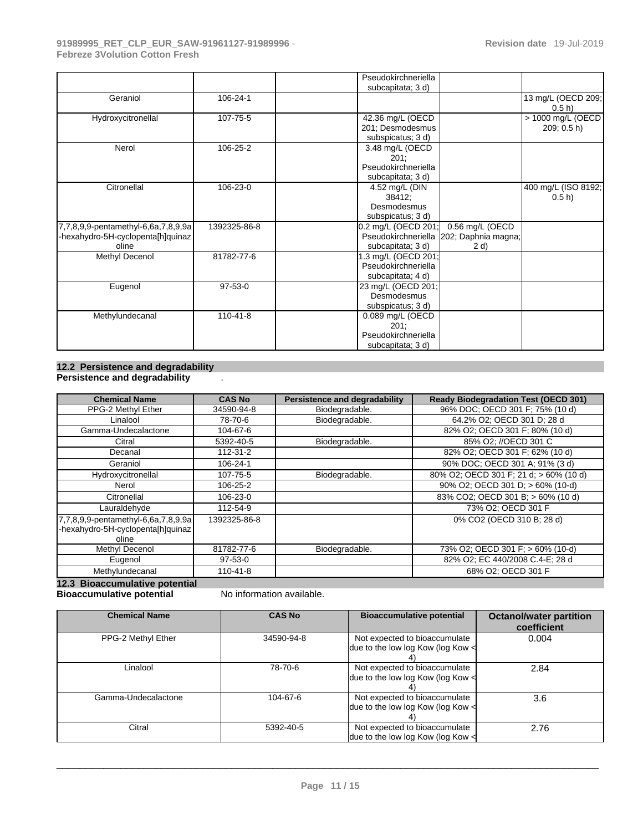|                                                                                   |                | Pseudokirchneriella<br>subcapitata; 3 d)                                                                       |
|-----------------------------------------------------------------------------------|----------------|----------------------------------------------------------------------------------------------------------------|
| Geraniol                                                                          | 106-24-1       | 13 mg/L (OECD 209;<br>0.5 h                                                                                    |
| Hydroxycitronellal                                                                | 107-75-5       | > 1000 mg/L (OECD<br>42.36 mg/L (OECD<br>201; Desmodesmus<br>209; 0.5 h<br>subspicatus; 3 d)                   |
| Nerol                                                                             | 106-25-2       | 3.48 mg/L (OECD<br>201:<br>Pseudokirchneriella<br>subcapitata; 3 d)                                            |
| Citronellal                                                                       | 106-23-0       | 400 mg/L (ISO 8192;<br>4.52 mg/L (DIN<br>38412;<br>$0.5 h$ )<br>Desmodesmus<br>subspicatus; 3 d)               |
| 7,7,8,9,9-pentamethyl-6,6a,7,8,9,9a<br>-hexahydro-5H-cyclopenta[h]quinaz<br>oline | 1392325-86-8   | 0.56 mg/L (OECD<br>0.2 mg/L (OECD 201;<br>Pseudokirchneriella 202; Daphnia magna;<br>subcapitata; 3 d)<br>2 d) |
| Methyl Decenol                                                                    | 81782-77-6     | 1.3 mg/L (OECD 201;<br>Pseudokirchneriella<br>subcapitata; 4 d)                                                |
| Eugenol                                                                           | $97-53-0$      | 23 mg/L (OECD 201;<br>Desmodesmus<br>subspicatus; 3 d)                                                         |
| Methylundecanal                                                                   | $110 - 41 - 8$ | 0.089 mg/L (OECD<br>201;<br>Pseudokirchneriella<br>subcapitata; 3 d)                                           |

#### **12.2 Persistence and degradability Persistence and degradability** .

| <b>Chemical Name</b>                                                              | <b>CAS No</b> | <b>Persistence and degradability</b> | <b>Ready Biodegradation Test (OECD 301)</b> |
|-----------------------------------------------------------------------------------|---------------|--------------------------------------|---------------------------------------------|
| PPG-2 Methyl Ether                                                                | 34590-94-8    | Biodegradable.                       | 96% DOC: OECD 301 F: 75% (10 d)             |
| Linalool                                                                          | 78-70-6       | Biodegradable.                       | 64.2% O2; OECD 301 D; 28 d                  |
| Gamma-Undecalactone                                                               | 104-67-6      |                                      | 82% O2; OECD 301 F; 80% (10 d)              |
| Citral                                                                            | 5392-40-5     | Biodegradable.                       | 85% O2: //OECD 301 C                        |
| Decanal                                                                           | 112-31-2      |                                      | 82% O2; OECD 301 F; 62% (10 d)              |
| Geraniol                                                                          | 106-24-1      |                                      | 90% DOC; OECD 301 A; 91% (3 d)              |
| Hydroxycitronellal                                                                | 107-75-5      | Biodegradable.                       | 80% O2; OECD 301 F; 21 d; > 60% (10 d)      |
| Nerol                                                                             | 106-25-2      |                                      | 90% O2; OECD 301 D; > 60% (10-d)            |
| Citronellal                                                                       | 106-23-0      |                                      | 83% CO2; OECD 301 B; > 60% (10 d)           |
| Lauraldehyde                                                                      | 112-54-9      |                                      | 73% O2; OECD 301 F                          |
| 7,7,8,9,9-pentamethyl-6,6a,7,8,9,9a<br>-hexahydro-5H-cyclopenta[h]quinaz<br>oline | 1392325-86-8  |                                      | 0% CO2 (OECD 310 B; 28 d)                   |
| Methyl Decenol                                                                    | 81782-77-6    | Biodegradable.                       | 73% O2; OECD 301 F; > 60% (10-d)            |
| Eugenol                                                                           | $97 - 53 - 0$ |                                      | 82% O2; EC 440/2008 C.4-E; 28 d             |
| Methylundecanal                                                                   | 110-41-8      |                                      | 68% O2: OECD 301 F                          |

**12.3 Bioaccumulative potential** 

**Bioaccumulative potential** No information available.

| <b>Chemical Name</b> | <b>CAS No</b> | <b>Bioaccumulative potential</b>                                        | <b>Octanol/water partition</b><br>coefficient |
|----------------------|---------------|-------------------------------------------------------------------------|-----------------------------------------------|
| PPG-2 Methyl Ether   | 34590-94-8    | Not expected to bioaccumulate<br>due to the low log Kow (log Kow $\leq$ | 0.004                                         |
| Linalool             | 78-70-6       | Not expected to bioaccumulate<br>due to the low log Kow (log Kow $\leq$ | 2.84                                          |
| Gamma-Undecalactone  | 104-67-6      | Not expected to bioaccumulate<br>due to the low log Kow (log Kow $\leq$ | 3.6                                           |
| Citral               | 5392-40-5     | Not expected to bioaccumulate<br>due to the low log Kow (log Kow $\leq$ | 2.76                                          |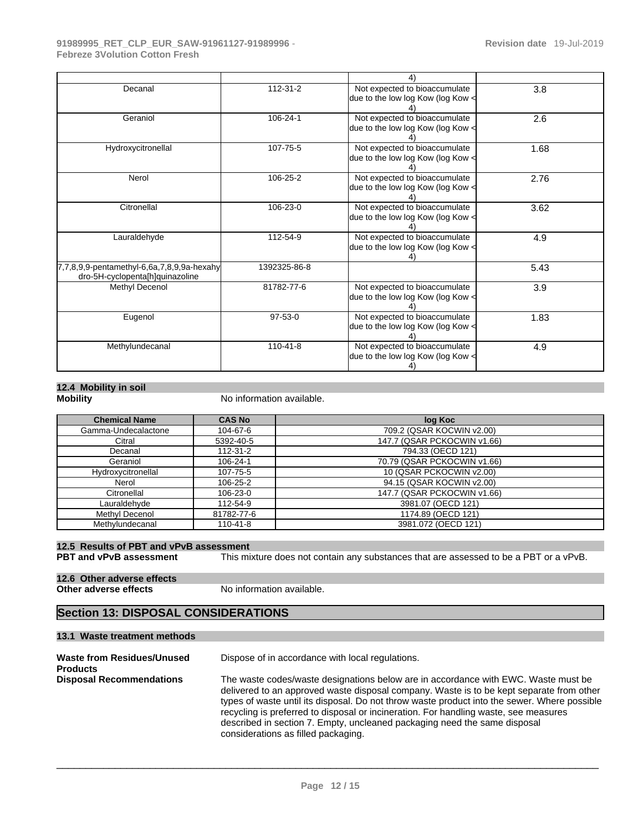|                                                                               |                | 4)                                                                 |      |
|-------------------------------------------------------------------------------|----------------|--------------------------------------------------------------------|------|
| Decanal                                                                       | 112-31-2       | Not expected to bioaccumulate<br>due to the low log Kow (log Kow < | 3.8  |
| Geraniol                                                                      | 106-24-1       | Not expected to bioaccumulate<br>due to the low log Kow (log Kow < | 2.6  |
| Hydroxycitronellal                                                            | 107-75-5       | Not expected to bioaccumulate<br>due to the low log Kow (log Kow < | 1.68 |
| Nerol                                                                         | 106-25-2       | Not expected to bioaccumulate<br>due to the low log Kow (log Kow < | 2.76 |
| Citronellal                                                                   | 106-23-0       | Not expected to bioaccumulate<br>due to the low log Kow (log Kow < | 3.62 |
| Lauraldehyde                                                                  | 112-54-9       | Not expected to bioaccumulate<br>due to the low log Kow (log Kow < | 4.9  |
| 7,7,8,9,9-pentamethyl-6,6a,7,8,9,9a-hexahy<br>dro-5H-cyclopenta[h]quinazoline | 1392325-86-8   |                                                                    | 5.43 |
| Methyl Decenol                                                                | 81782-77-6     | Not expected to bioaccumulate<br>due to the low log Kow (log Kow < | 3.9  |
| Eugenol                                                                       | $97 - 53 - 0$  | Not expected to bioaccumulate<br>due to the low log Kow (log Kow < | 1.83 |
| Methylundecanal                                                               | $110 - 41 - 8$ | Not expected to bioaccumulate<br>due to the low log Kow (log Kow < | 4.9  |

# **12.4 Mobility in soil**

**No information available.** 

| <b>Chemical Name</b> | <b>CAS No</b>  | log Koc                     |
|----------------------|----------------|-----------------------------|
| Gamma-Undecalactone  | 104-67-6       | 709.2 (QSAR KOCWIN v2.00)   |
| Citral               | 5392-40-5      | 147.7 (QSAR PCKOCWIN v1.66) |
| Decanal              | $112 - 31 - 2$ | 794.33 (OECD 121)           |
| Geraniol             | 106-24-1       | 70.79 (QSAR PCKOCWIN v1.66) |
| Hydroxycitronellal   | 107-75-5       | 10 (QSAR PCKOCWIN v2.00)    |
| Nerol                | 106-25-2       | 94.15 (QSAR KOCWIN v2.00)   |
| Citronellal          | 106-23-0       | 147.7 (QSAR PCKOCWIN v1.66) |
| Lauraldehyde         | 112-54-9       | 3981.07 (OECD 121)          |
| Methyl Decenol       | 81782-77-6     | 1174.89 (OECD 121)          |
| Methylundecanal      | $110 - 41 - 8$ | 3981.072 (OECD 121)         |

# **12.5 Results of PBT and vPvB assessment**

This mixture does not contain any substances that are assessed to be a PBT or a vPvB.

# **12.6 Other adverse effects**

**No information available.** 

### **Section 13: DISPOSAL CONSIDERATIONS**

#### **13.1 Waste treatment methods**

| Waste from Residues/Unused<br><b>Products</b> | Dispose of in accordance with local regulations.                                                                                                                                                                                                                                                                                                                                                                                                                                           |
|-----------------------------------------------|--------------------------------------------------------------------------------------------------------------------------------------------------------------------------------------------------------------------------------------------------------------------------------------------------------------------------------------------------------------------------------------------------------------------------------------------------------------------------------------------|
| <b>Disposal Recommendations</b>               | The waste codes/waste designations below are in accordance with EWC. Waste must be<br>delivered to an approved waste disposal company. Waste is to be kept separate from other<br>types of waste until its disposal. Do not throw waste product into the sewer. Where possible<br>recycling is preferred to disposal or incineration. For handling waste, see measures<br>described in section 7. Empty, uncleaned packaging need the same disposal<br>considerations as filled packaging. |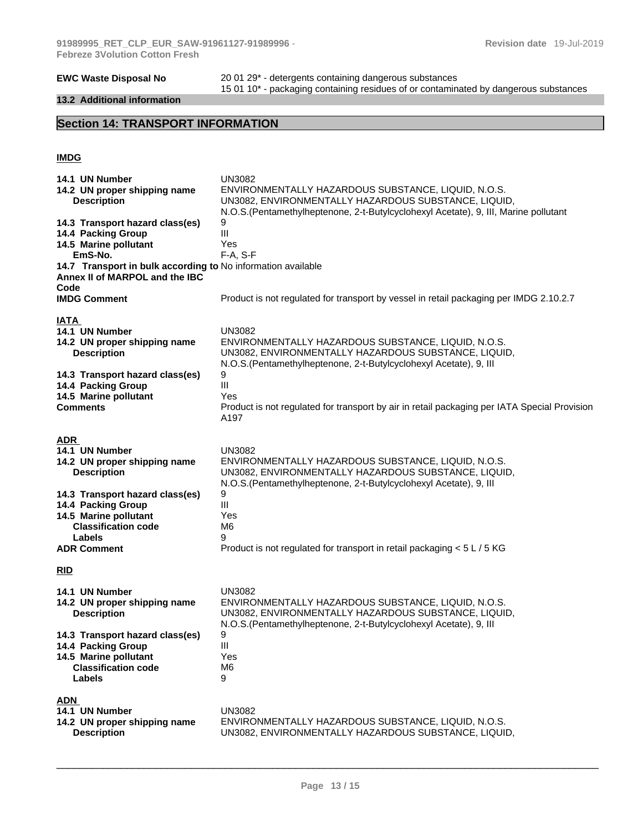#### **13.2 Additional information**

**EWC Waste Disposal No** 20 01 29\*- detergents containing dangerous substances 15 01 10\*- packaging containing residues of or contaminated by dangerous substances

# **Section 14: TRANSPORT INFORMATION**

#### **IMDG**

| 14.1 UN Number<br>14.2 UN proper shipping name<br><b>Description</b>                                            | <b>UN3082</b><br>ENVIRONMENTALLY HAZARDOUS SUBSTANCE, LIQUID, N.O.S.<br>UN3082, ENVIRONMENTALLY HAZARDOUS SUBSTANCE, LIQUID,<br>N.O.S. (Pentamethylheptenone, 2-t-Butylcyclohexyl Acetate), 9, III, Marine pollutant |
|-----------------------------------------------------------------------------------------------------------------|----------------------------------------------------------------------------------------------------------------------------------------------------------------------------------------------------------------------|
| 14.3 Transport hazard class(es)                                                                                 | 9                                                                                                                                                                                                                    |
| 14.4 Packing Group                                                                                              | III                                                                                                                                                                                                                  |
| 14.5 Marine pollutant                                                                                           | Yes                                                                                                                                                                                                                  |
| EmS-No.<br>14.7 Transport in bulk according to No information available                                         | $F-A, S-F$                                                                                                                                                                                                           |
| Annex II of MARPOL and the IBC<br>Code                                                                          |                                                                                                                                                                                                                      |
| <b>IMDG Comment</b>                                                                                             | Product is not regulated for transport by vessel in retail packaging per IMDG 2.10.2.7                                                                                                                               |
|                                                                                                                 |                                                                                                                                                                                                                      |
| IATA<br>14.1 UN Number<br>14.2 UN proper shipping name<br><b>Description</b><br>14.3 Transport hazard class(es) | <b>UN3082</b><br>ENVIRONMENTALLY HAZARDOUS SUBSTANCE, LIQUID, N.O.S.<br>UN3082, ENVIRONMENTALLY HAZARDOUS SUBSTANCE, LIQUID,<br>N.O.S. (Pentamethylheptenone, 2-t-Butylcyclohexyl Acetate), 9, III<br>9              |
| 14.4 Packing Group                                                                                              | $\mathbf{III}$                                                                                                                                                                                                       |
| 14.5 Marine pollutant                                                                                           | Yes                                                                                                                                                                                                                  |
| <b>Comments</b>                                                                                                 | Product is not regulated for transport by air in retail packaging per IATA Special Provision<br>A197                                                                                                                 |
| <b>ADR</b><br>14.1 UN Number<br>14.2 UN proper shipping name                                                    | <b>UN3082</b><br>ENVIRONMENTALLY HAZARDOUS SUBSTANCE, LIQUID, N.O.S.                                                                                                                                                 |
| <b>Description</b>                                                                                              | UN3082, ENVIRONMENTALLY HAZARDOUS SUBSTANCE, LIQUID,<br>N.O.S.(Pentamethylheptenone, 2-t-Butylcyclohexyl Acetate), 9, III                                                                                            |
| 14.3 Transport hazard class(es)                                                                                 | 9                                                                                                                                                                                                                    |
| 14.4 Packing Group                                                                                              | III                                                                                                                                                                                                                  |
| 14.5 Marine pollutant                                                                                           | Yes                                                                                                                                                                                                                  |
| <b>Classification code</b>                                                                                      | M <sub>6</sub>                                                                                                                                                                                                       |
| Labels                                                                                                          | 9                                                                                                                                                                                                                    |
| <b>ADR Comment</b>                                                                                              | Product is not regulated for transport in retail packaging < 5 L / 5 KG                                                                                                                                              |
| <b>RID</b>                                                                                                      |                                                                                                                                                                                                                      |
| 14.1 UN Number<br>14.2 UN proper shipping name<br><b>Description</b>                                            | <b>UN3082</b><br>ENVIRONMENTALLY HAZARDOUS SUBSTANCE, LIQUID, N.O.S.<br>UN3082, ENVIRONMENTALLY HAZARDOUS SUBSTANCE, LIQUID,<br>N.O.S.(Pentamethylheptenone, 2-t-Butylcyclohexyl Acetate), 9, III                    |
| 14.3 Transport hazard class(es)                                                                                 | 9                                                                                                                                                                                                                    |
| 14.4 Packing Group                                                                                              | $\mathop{\rm III}$                                                                                                                                                                                                   |
| 14.5 Marine pollutant<br><b>Classification code</b>                                                             | Yes<br>M <sub>6</sub>                                                                                                                                                                                                |
| Labels                                                                                                          | 9                                                                                                                                                                                                                    |
| <b>ADN</b><br>14.1 UN Number                                                                                    | <b>UN3082</b>                                                                                                                                                                                                        |
| 14.2 UN proper shipping name<br><b>Description</b>                                                              | ENVIRONMENTALLY HAZARDOUS SUBSTANCE, LIQUID, N.O.S.<br>UN3082, ENVIRONMENTALLY HAZARDOUS SUBSTANCE, LIQUID,                                                                                                          |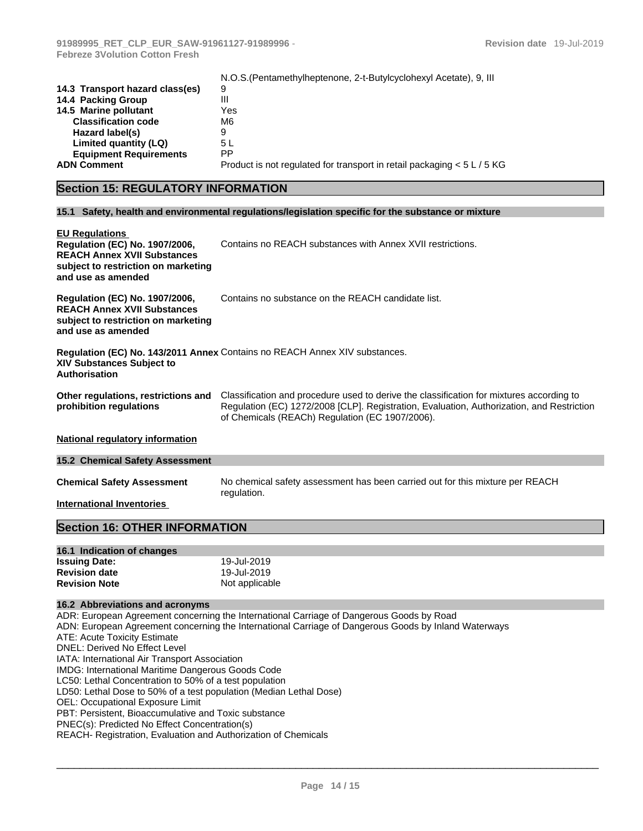|                                 | N.O.S. (Pentamethylheptenone, 2-t-Butylcyclohexyl Acetate), 9, III        |
|---------------------------------|---------------------------------------------------------------------------|
| 14.3 Transport hazard class(es) | 9                                                                         |
| 14.4 Packing Group              | Ш                                                                         |
| 14.5 Marine pollutant           | Yes                                                                       |
| <b>Classification code</b>      | M6                                                                        |
| Hazard label(s)                 |                                                                           |
| Limited quantity (LQ)           | 5 L                                                                       |
| <b>Equipment Requirements</b>   | РP                                                                        |
| <b>ADN Comment</b>              | Product is not regulated for transport in retail packaging $< 5 L / 5 KG$ |

# **Section 15: REGULATORY INFORMATION**

#### **15.1 Safety, health and environmental regulations/legislation specific for the substance or mixture**

| <b>EU Regulations</b><br>Regulation (EC) No. 1907/2006,<br><b>REACH Annex XVII Substances</b><br>subject to restriction on marketing<br>and use as amended | Contains no REACH substances with Annex XVII restrictions.                                                                                                                                                                               |
|------------------------------------------------------------------------------------------------------------------------------------------------------------|------------------------------------------------------------------------------------------------------------------------------------------------------------------------------------------------------------------------------------------|
| Regulation (EC) No. 1907/2006,<br><b>REACH Annex XVII Substances</b><br>subject to restriction on marketing<br>and use as amended                          | Contains no substance on the REACH candidate list.                                                                                                                                                                                       |
| <b>XIV Substances Subject to</b><br><b>Authorisation</b>                                                                                                   | Regulation (EC) No. 143/2011 Annex Contains no REACH Annex XIV substances.                                                                                                                                                               |
| Other regulations, restrictions and<br>prohibition regulations                                                                                             | Classification and procedure used to derive the classification for mixtures according to<br>Regulation (EC) 1272/2008 [CLP]. Registration, Evaluation, Authorization, and Restriction<br>of Chemicals (REACh) Regulation (EC 1907/2006). |
| <b>National regulatory information</b>                                                                                                                     |                                                                                                                                                                                                                                          |
| <b>15.2 Chemical Safety Assessment</b>                                                                                                                     |                                                                                                                                                                                                                                          |
| <b>Chemical Safety Assessment</b>                                                                                                                          | No chemical safety assessment has been carried out for this mixture per REACH<br>regulation.                                                                                                                                             |
| <b>International Inventories</b>                                                                                                                           |                                                                                                                                                                                                                                          |
| <b>Section 16: OTHER INFORMATION</b>                                                                                                                       |                                                                                                                                                                                                                                          |
| 16.1 Indication of changes                                                                                                                                 |                                                                                                                                                                                                                                          |
| <b>Issuing Date:</b>                                                                                                                                       | 19-Jul-2019                                                                                                                                                                                                                              |
| <b>Revision date</b>                                                                                                                                       | 19-Jul-2019                                                                                                                                                                                                                              |
| <b>Revision Note</b>                                                                                                                                       | Not applicable                                                                                                                                                                                                                           |
| 16.2 Abbreviations and acronyms                                                                                                                            |                                                                                                                                                                                                                                          |
|                                                                                                                                                            | ADR: European Agreement concerning the International Carriage of Dangerous Goods by Road                                                                                                                                                 |
|                                                                                                                                                            | ADN: European Agreement concerning the International Carriage of Dangerous Goods by Inland Waterways                                                                                                                                     |
| <b>ATE: Acute Toxicity Estimate</b>                                                                                                                        |                                                                                                                                                                                                                                          |
| DNEL: Derived No Effect Level                                                                                                                              |                                                                                                                                                                                                                                          |
| IATA: International Air Transport Association                                                                                                              |                                                                                                                                                                                                                                          |
| IMDG: International Maritime Dangerous Goods Code                                                                                                          |                                                                                                                                                                                                                                          |
| LC50: Lethal Concentration to 50% of a test population<br>LDE0: Lothel Desa to E00/ of a test penulation (Median Lothel Desa)                              |                                                                                                                                                                                                                                          |
|                                                                                                                                                            |                                                                                                                                                                                                                                          |

LD50: Lethal Dose to 50% of a test population (Median Lethal Dose)

OEL: Occupational Exposure Limit

PBT: Persistent, Bioaccumulative and Toxic substance

PNEC(s): Predicted No Effect Concentration(s)

REACH- Registration, Evaluation and Authorization of Chemicals